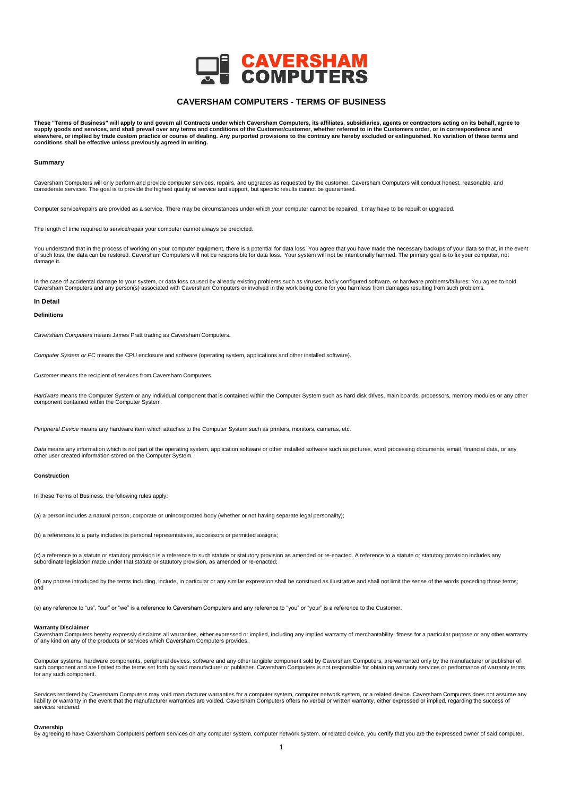

# **CAVERSHAM COMPUTERS - TERMS OF BUSINESS**

These "Terms of Business" will apply to and govern all Contracts under which Caversham Computers, its affiliates, subsidiaries, agents or contractors acting on its behalf, agree to supply goods and services, and shall prevail over any terms and conditions of the Customer/customer, whether referred to in the Customers order, or in correspondence and<br>elsewhere, or implied by trade custom practice or co **conditions shall be effective unless previously agreed in writing.**

# **Summary**

Caversham Computers will only perform and provide computer services, repairs, and upgrades as requested by the customer. Caversham Computers will conduct honest, reasonable, and considerate services. The goal is to provide the highest quality of service and support, but specific results cannot be guaranteed.

Computer service/repairs are provided as a service. There may be circumstances under which your computer cannot be repaired. It may have to be rebuilt or upgraded.

The length of time required to service/repair your computer cannot always be predicted.

You understand that in the process of working on your computer equipment, there is a potential for data loss. You agree that you have made the necessary backups of your data so that, in the event<br>of such loss, the data can damage it.

In the case of accidental damage to your system, or data loss caused by already existing problems such as viruses, badly configured software, or hardware problems/failures: You agree to hold Caversham Computers and any person(s) associated with Caversham Computers or involved in the work being done for you harmless from damages resulting from such problems

# **In Detail**

# **Definitions**

*Caversham Computers* means James Pratt trading as Caversham Computers.

*Computer System or PC* means the CPU enclosure and software (operating system, applications and other installed software).

*Customer* means the recipient of services from Caversham Computers.

Hardware means the Computer System or any individual component that is contained within the Computer System such as hard disk drives, main boards, processors, memory modules or any other component contained within the Computer System.

*Peripheral Device* means any hardware item which attaches to the Computer System such as printers, monitors, cameras, etc.

Data means any information which is not part of the operating system, application software or other installed software such as pictures, word processing documents, email, financial data, or any other user created information stored on the Computer System.

# **Construction**

In these Terms of Business, the following rules apply:

(a) a person includes a natural person, corporate or unincorporated body (whether or not having separate legal personality);

(b) a references to a party includes its personal representatives, successors or permitted assigns;

(c) a reference to a statute or statutory provision is a reference to such statute or statutory provision as amended or re-enacted. A reference to a statute or statutory provision includes any subordinate legislation made under that statute or statutory provision, as amended or re-enacted;

(d) any phrase introduced by the terms including, include, in particular or any similar expression shall be construed as illustrative and shall not limit the sense of the words preceding those terms; and

(e) any reference to "us", "our" or "we" is a reference to Caversham Computers and any reference to "you" or "your" is a reference to the Customer.

# **Warranty Disclaimer**

Caversham Computers hereby expressly disclaims all warranties, either expressed or implied, including any implied warranty of merchantability, fitness for a particular purpose or any other warranty of any kind on any of the products or services which Caversham Computers provides.

Computer systems, hardware components, peripheral devices, software and any other tangible component sold by Caversham Computers, are warranted only by the manufacturer or publisher of such component and are limited to the terms set forth by said manufacturer or publisher. Caversham Computers is not responsible for obtaining warranty services or performance of warranty terms for any such component.

Services rendered by Caversham Computers may void manufacturer warranties for a computer system, computer network system, or a related device. Caversham Computers does not assume any liability or warranty in the event that the manufacturer warranties are voided. Caversham Computers offers no verbal or written warranty, either expressed or implied, regarding the success of services rendered.

# **Ownership**

By agreeing to have Caversham Computers perform services on any computer system, computer network system, or related device, you certify that you are the expressed owner of said computer,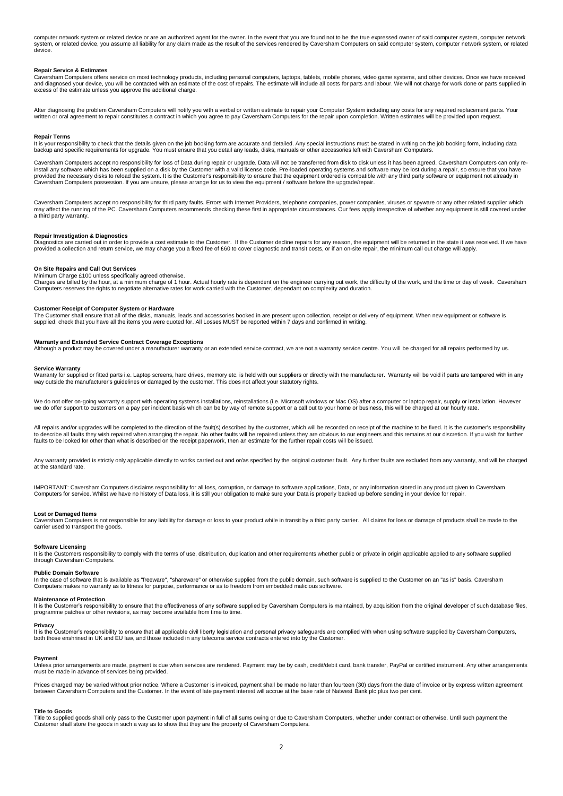computer network system or related device or are an authorized agent for the owner. In the event that you are found not to be the true expressed owner of said computer system, computer network system, or related device, you assume all liability for any claim made as the result of the services rendered by Caversham Computers on said computer system, computer network system, or related device.

### **Repair Service & Estimates**

Caversham Computers offers service on most technology products, including personal computers, laptops, tablets, mobile phones, video game systems, and other devices. Once we have received and diagnosed your device, you will be contacted with an estimate of the cost of repairs. The estimate will include all costs for parts and labour. We will not charge for work done or parts supplied in<br>excess of the estima

After diagnosing the problem Caversham Computers will notify you with a verbal or written estimate to repair your Computer System including any costs for any required replacement parts. Your written or oral agreement to repair constitutes a contract in which you agree to pay Caversham Computers for the repair upon completion. Written estimates will be provided upon request.

### **Repair Terms**

It is your responsibility to check that the details given on the job booking form are accurate and detailed. Any special instructions must be stated in writing on the job booking form, including data backup and specific requirements for upgrade. You must ensure that you detail any leads, disks, manuals or other accessories left with Caversham Computers.

Caversham Computers accept no responsibility for loss of Data during repair or upgrade. Data will not be transferred from disk to disk unless it has been agreed. Caversham Computers can only reinstall any software which has been supplied on a disk by the Customer with a valid license code. Pre-loaded operating systems and software may be lost during a repair, so ensure that you have<br>provided the necessary disks

Caversham Computers accept no responsibility for third party faults. Errors with Internet Providers, telephone companies, power companies, viruses or spyware or any other related supplier which may affect the running of the PC. Caversham Computers recommends checking these first in appropriate circumstances. Our fees apply irrespective of whether any equipment is still covered under a third party warranty.

# **Repair Investigation & Diagnostics**

Diagnostics are carried out in order to provide a cost estimate to the Customer. If the Customer decline repairs for any reason, the equipment will be returned in the state it was received. If we have provided a collection and return service, we may charge you a fixed fee of £60 to cover diagnostic and transit costs, or if an on-site repair, the minimum call out charge will apply.

### **On Site Repairs and Call Out Services**

# Minimum Charge £100 unless specifically agreed otherwise.

Charges are billed by the hour, at a minimum charge of 1 hour. Actual hourly rate is dependent on the engineer carrying out work, the difficulty of the work, and the time or day of week. Caversham<br>Computers reserves the ri

## **Customer Receipt of Computer System or Hardware**

The Customer shall ensure that all of the disks, manuals, leads and accessories booked in are present upon collection, receipt or delivery of equipment. When new equipment or software is supplied, check that you have all the items you were quoted for. All Losses MUST be reported within 7 days and confirmed in writing.

# **Warranty and Extended Service Contract Coverage Exceptions**

Although a product may be covered under a manufacturer warranty or an extended service contract, we are not a warranty service centre. You will be charged for all repairs performed by us.

## **Service Warranty**

Warranty for supplied or fitted parts i.e. Laptop screens, hard drives, memory etc. is held with our suppliers or directly with the manufacturer. Warranty will be void if parts are tampered with in any way outside the manufacturer's guidelines or damaged by the customer. This does not affect your statutory rights.

We do not offer on-going warranty support with operating systems installations, reinstallations (i.e. Microsoft windows or Mac OS) after a computer or laptop repair, supply or installation. However we do offer support to customers on a pay per incident basis which can be by way of remote support or a call out to your home or business, this will be charged at our hourly rate.

All repairs and/or upgrades will be completed to the direction of the fault(s) described by the customer, which will be recorded on receipt of the machine to be fixed. It is the customer's responsibility to describe all faults they wish repaired when arranging the repair. No other faults will be repaired unless they are obvious to our engineers and this remains at our discretion. If you wish for further<br>faults to be looked

Any warranty provided is strictly only applicable directly to works carried out and or/as specified by the original customer fault. Any further faults are excluded from any warranty, and will be charged at the standard rate.

IMPORTANT: Caversham Computers disclaims responsibility for all loss, corruption, or damage to software applications, Data, or any information stored in any product given to Caversham<br>Computers for service. Whilst we have

# **Lost or Damaged Items**

Caversham Computers is not responsible for any liability for damage or loss to your product while in transit by a third party carrier. All claims for loss or damage of products shall be made to the carrier used to transport the goods.

### **Software Licensing**

It is the Customers responsibility to comply with the terms of use, distribution, duplication and other requirements whether public or private in origin applicable applied to any software supplied through Caversham Computers.

# **Public Domain Software**

In the case of software that is available as "freeware", "shareware" or otherwise supplied from the public domain, such software is supplied to the Customer on an "as is" basis. Caversham<br>Computers makes no warranty as to

### **Maintenance of Protection**

It is the Customer's responsibility to ensure that the effectiveness of any software supplied by Caversham Computers is maintained, by acquisition from the original developer of such database files, programme patches or other revisions, as may become available from time to time.

# **Privacy**

It is the Customer's responsibility to ensure that all applicable civil liberty legislation and personal privacy safeguards are complied with when using software supplied by Caversham Computers, both those enshrined in UK and EU law, and those included in any telecoms service contracts entered into by the Customer.

### **Payment**

Unless prior arrangements are made, payment is due when services are rendered. Payment may be by cash, credit/debit card, bank transfer, PayPal or certified instrument. Any other arrangements<br>must be made in advance of ser

Prices charged may be varied without prior notice. Where a Customer is invoiced, payment shall be made no later than fourteen (30) days from the date of invoice or by express written agreement between Caversham Computers and the Customer. In the event of late payment interest will accrue at the base rate of Natwest Bank plc plus two per cent.

### **Title to Goods**

Title to supplied goods shall only pass to the Customer upon payment in full of all sums owing or due to Caversham Computers, whether under contract or otherwise. Until such payment the<br>Customer shall store the goods in su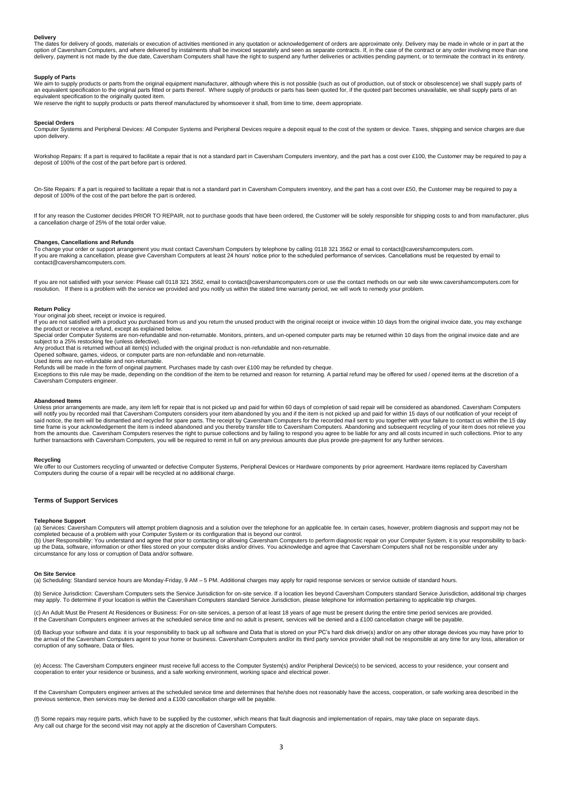# **Delivery**

The dates for delivery of goods, materials or execution of activities mentioned in any quotation or acknowledgement of orders are approximate only. Delivery may be made in whole or in part at the<br>option of Caversham Comput delivery, payment is not made by the due date, Caversham Computers shall have the right to suspend any further deliveries or activities pending payment, or to terminate the contract in its entirety.

### **Supply of Parts**

We aim to supply products or parts from the original equipment manufacturer, although where this is not possible (such as out of production, out of stock or obsolescence) we shall supply parts of an equivalent specification to the original parts fitted or parts thereof. Where supply of products or parts has been quoted for, if the quoted part becomes unavailable, we shall supply parts of an equivalent specification to the originally quoted item. We reserve the right to supply products or parts thereof manufactured by whomsoever it shall, from time to time, deem appropriate.

### **Special Orders**

Computer Systems and Peripheral Devices: All Computer Systems and Peripheral Devices require a deposit equal to the cost of the system or device. Taxes, shipping and service charges are due upon delivery.

Workshop Repairs: If a part is required to facilitate a repair that is not a standard part in Caversham Computers inventory, and the part has a cost over £100, the Customer may be required to pay a<br>deposit of 100% of the c

On-Site Repairs: If a part is required to facilitate a repair that is not a standard part in Caversham Computers inventory, and the part has a cost over £50, the Customer may be required to pay a deposit of 100% of the cost of the part before the part is ordered.

If for any reason the Customer decides PRIOR TO REPAIR, not to purchase goods that have been ordered, the Customer will be solely responsible for shipping costs to and from manufacturer, plus a cancellation charge of 25% of the total order value.

# **Changes, Cancellations and Refunds**<br>To change your order or support arrange

To change your order or support arrangement you must contact Caversham Computers by telephone by calling 0118 321 3562 or email to contact@cavershamcomputers.com. If you are making a cancellation, please give Caversham Computers at least 24 hours' notice prior to the scheduled performance of services. Cancellations must be requested by email to contact@cavershamcomputers.com.

If you are not satisfied with your service: Please call 0118 321 3562, email to contact@cavershamcomputers.com or use the contact methods on our web site www.cavershamcomputers.com for<br>resolution. If there is a problem wit

**Return Policy** Your original job sheet, receipt or invoice is required.

If you are not satisfied with a product you purchased from us and you return the unused product with the original receipt or invoice within 10 days from the original invoice date, you may exchange the product or receive a refund, except as explained below.

Special order Computer Systems are non-refundable and non-returnable. Monitors, printers, and un-opened computer parts may be returned within 10 days from the original invoice date and are subject to a 25% restocking fee (unless defective). Any product that is returned without all item(s) included with the original product is non-refundable and non-returnable.

Opened software, games, videos, or computer parts are non-refundable and non-returnable. Used items are non-refundable and non-returnable.

circumstance for any loss or corruption of Data and/or software.

Refunds will be made in the form of original payment. Purchases made by cash over £100 may be refunded by cheque.<br>Exceptions to this rule may be made, depending on the condition of the item to be returned and reason for re Caversham Computers engineer.

### **Abandoned Items**

Unless prior arrangements are made, any item left for repair that is not picked up and paid for within 60 days of completion of said repair will be considered as abandoned. Caversham Computers<br>will notify you by recorded m further transactions with Caversham Computers, you will be required to remit in full on any previous amounts due plus provide pre-payment for any further services.

### **Recycling**

We offer to our Customers recycling of unwanted or defective Computer Systems, Peripheral Devices or Hardware components by prior agreement. Hardware items replaced by Caversham<br>Computers during the course of a repair will

# **Terms of Support Services**

### **Telephone Support**

(a) Services: Caversham Computers will attempt problem diagnosis and a solution over the telephone for an applicable fee. In certain cases, however, problem diagnosis and support may not be<br>completed because of a problem w (b) User Responsibility: You understand and agree that prior to contacting or allowing Caversham Computers to perform diagnostic repair on your Computer System, it is your responsibility to back-<br>up the Data, software, inf

### **On Site Service**

(a) Scheduling: Standard service hours are Monday-Friday, 9 AM – 5 PM. Additional charges may apply for rapid response services or service outside of standard hours.

(b) Service Jurisdiction: Caversham Computers sets the Service Jurisdiction for on-site service. If a location lies beyond Caversham Computers standard Service Jurisdiction, additional trip charges may apply. To determine if your location is within the Caversham Computers standard Service Jurisdiction, please telephone for information pertaining to applicable trip charges.

(c) An Adult Must Be Present At Residences or Business: For on-site services, a person of at least 18 years of age must be present during the entire time period services are provided. If the Caversham Computers engineer arrives at the scheduled service time and no adult is present, services will be denied and a £100 cancellation charge will be payable.

(d) Backup your software and data: it is your responsibility to back up all software and Data that is stored on your PC's hard disk drive(s) and/or on any other storage devices you may have prior to<br>the arrival of the Cave corruption of any software, Data or files.

(e) Access: The Caversham Computers engineer must receive full access to the Computer System(s) and/or Peripheral Device(s) to be serviced, access to your residence, your consent and<br>cooperation to enter your residence or

If the Caversham Computers engineer arrives at the scheduled service time and determines that he/she does not reasonably have the access, cooperation, or safe working area described in the previous sentence, then services may be denied and a £100 cancellation charge will be payable.

(f) Some repairs may require parts, which have to be supplied by the customer, which means that fault diagnosis and implementation of repairs, may take place on separate days. Any call out charge for the second visit may not apply at the discretion of Caversham Computers.